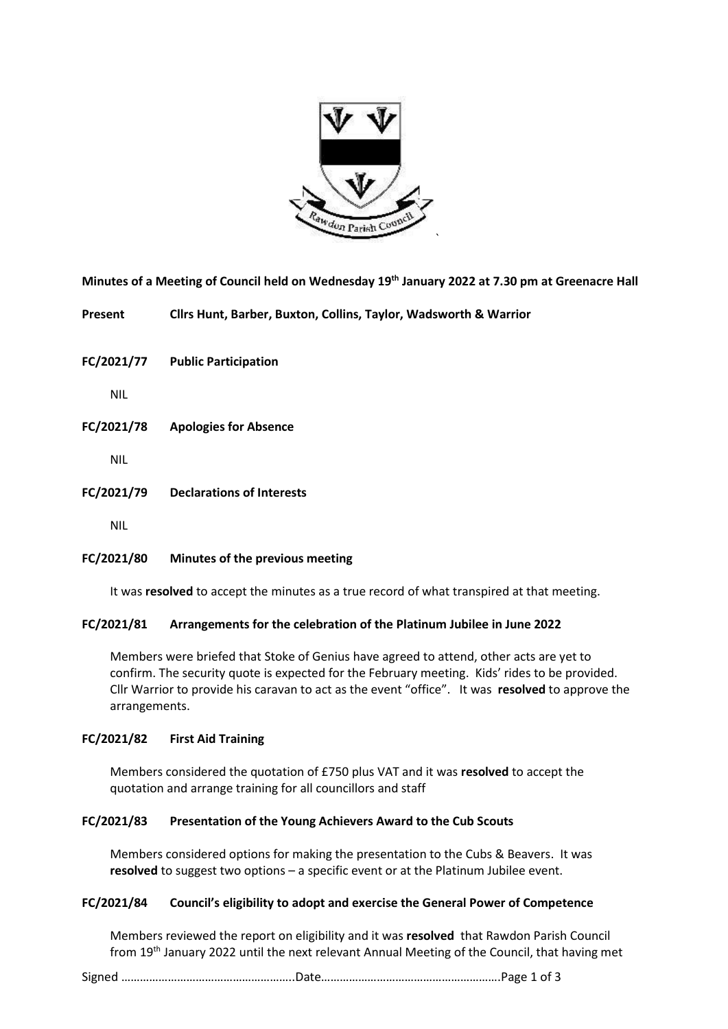

**Minutes of a Meeting of Council held on Wednesday 19 th January 2022 at 7.30 pm at Greenacre Hall**

**Present Cllrs Hunt, Barber, Buxton, Collins, Taylor, Wadsworth & Warrior**

**FC/2021/77 Public Participation**

NIL

**FC/2021/78 Apologies for Absence**

NIL

**FC/2021/79 Declarations of Interests**

NIL

# **FC/2021/80 Minutes of the previous meeting**

It was **resolved** to accept the minutes as a true record of what transpired at that meeting.

# **FC/2021/81 Arrangements for the celebration of the Platinum Jubilee in June 2022**

Members were briefed that Stoke of Genius have agreed to attend, other acts are yet to confirm. The security quote is expected for the February meeting. Kids' rides to be provided. Cllr Warrior to provide his caravan to act as the event "office". It was **resolved** to approve the arrangements.

# **FC/2021/82 First Aid Training**

Members considered the quotation of £750 plus VAT and it was **resolved** to accept the quotation and arrange training for all councillors and staff

# **FC/2021/83 Presentation of the Young Achievers Award to the Cub Scouts**

Members considered options for making the presentation to the Cubs & Beavers. It was **resolved** to suggest two options – a specific event or at the Platinum Jubilee event.

# **FC/2021/84 Council's eligibility to adopt and exercise the General Power of Competence**

Members reviewed the report on eligibility and it was **resolved** that Rawdon Parish Council from 19th January 2022 until the next relevant Annual Meeting of the Council, that having met

Signed ………………………………………………..Date………………………………………………….Page 1 of 3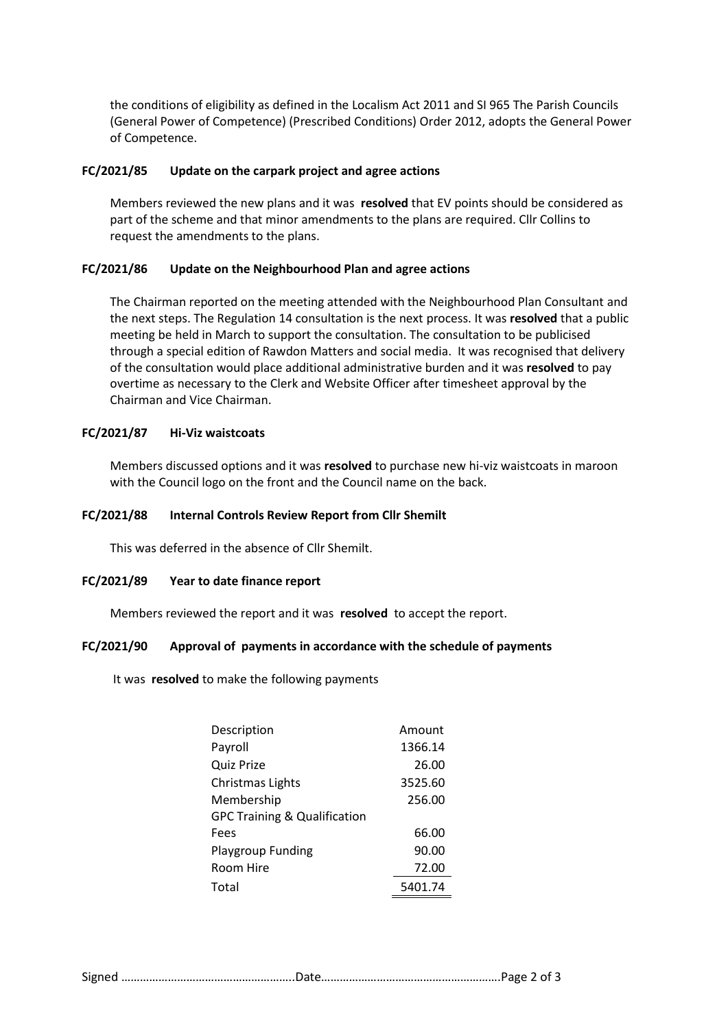the conditions of eligibility as defined in the Localism Act 2011 and SI 965 The Parish Councils (General Power of Competence) (Prescribed Conditions) Order 2012, adopts the General Power of Competence.

#### **FC/2021/85 Update on the carpark project and agree actions**

Members reviewed the new plans and it was **resolved** that EV points should be considered as part of the scheme and that minor amendments to the plans are required. Cllr Collins to request the amendments to the plans.

#### **FC/2021/86 Update on the Neighbourhood Plan and agree actions**

The Chairman reported on the meeting attended with the Neighbourhood Plan Consultant and the next steps. The Regulation 14 consultation is the next process. It was **resolved** that a public meeting be held in March to support the consultation. The consultation to be publicised through a special edition of Rawdon Matters and social media. It was recognised that delivery of the consultation would place additional administrative burden and it was **resolved** to pay overtime as necessary to the Clerk and Website Officer after timesheet approval by the Chairman and Vice Chairman.

#### **FC/2021/87 Hi-Viz waistcoats**

Members discussed options and it was **resolved** to purchase new hi-viz waistcoats in maroon with the Council logo on the front and the Council name on the back.

#### **FC/2021/88 Internal Controls Review Report from Cllr Shemilt**

This was deferred in the absence of Cllr Shemilt.

#### **FC/2021/89 Year to date finance report**

Members reviewed the report and it was **resolved** to accept the report.

#### **FC/2021/90 Approval of payments in accordance with the schedule of payments**

It was **resolved** to make the following payments

| Description                             | Amount  |  |
|-----------------------------------------|---------|--|
| Payroll                                 | 1366.14 |  |
| Quiz Prize                              | 26.00   |  |
| Christmas Lights                        | 3525.60 |  |
| Membership                              | 256.00  |  |
| <b>GPC Training &amp; Qualification</b> |         |  |
| Fees                                    | 66.00   |  |
| <b>Playgroup Funding</b>                | 90.00   |  |
| Room Hire                               | 72.00   |  |
| Total                                   | 5401.74 |  |